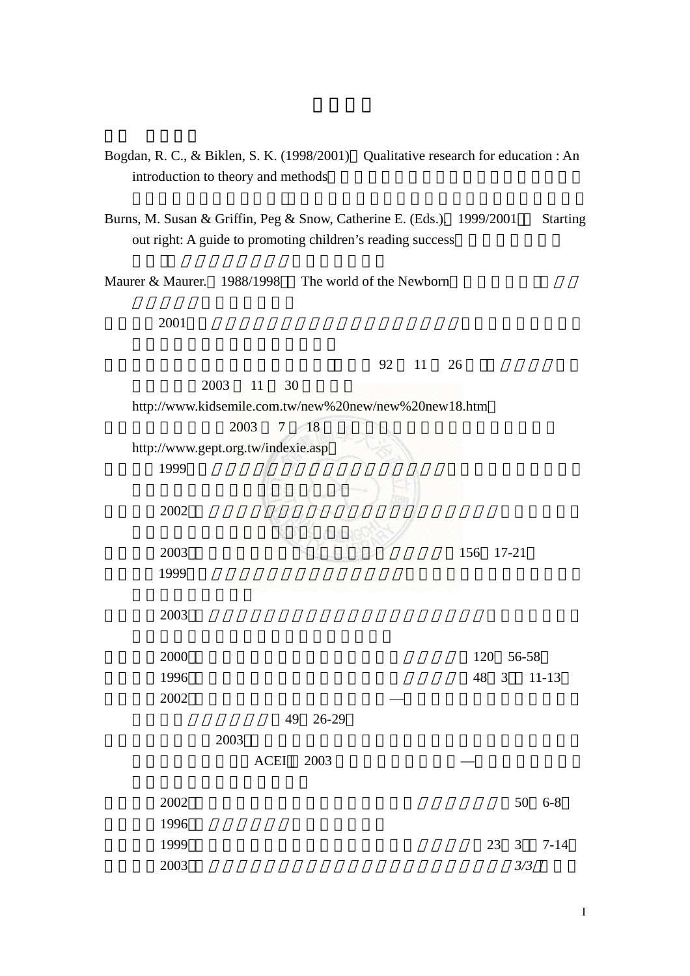- Bogdan, R. C., & Biklen, S. K. (1998/2001) Qualitative research for education : An introduction to theory and methods
- Burns, M. Susan & Griffin, Peg & Snow, Catherine E. (Eds.). 1999/2001 Starting out right: A guide to promoting children's reading success

Maurer & Maurer.  $1988/1998$  The world of the Newborn

 $2001$ 

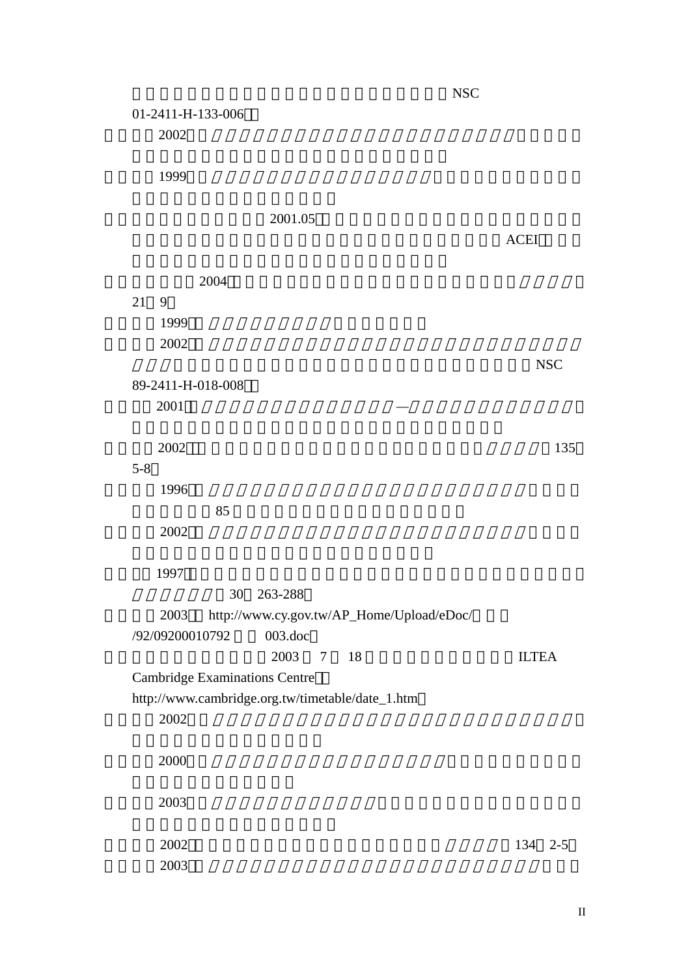院國家科學委員會專題研究計畫成果報告書(編號:NSC 01-2411-H-133-006 孫麗瑛 2002)。國小學童英文聲韻覺識能力及認字能力之相關研究 台中師範 徐麗球 1999)。國語文低成就學童閱讀能力亞型探討 台東師範學院國民教育  $2001.05$  $ACE1$  $2004$ 21 9 郭生玉(1999 心理與教育研究方法。台北:精華。  $2002$  $NSC$ 89-2411-H-018-008 粘惠雅 2001 幼稚園實施英語教學現況之研究*—*以台灣北區一個雙語班為例 彭慧玲 2002 「幼兒美語學習在幼稚園的定位」談幼兒教育 幼教資訊 135 5-8  $1996$  $85$  $2002$ 黃秀霜 1997 兒童早期音韻覺識對其三年後中文認字能力關係之縱貫性研究 30 263-288 2003 http://www.cy.gov.tw/AP\_Home/Upload/eDoc/ /92/09200010792 003.doc 劍橋小院士兒童英語認證。2003 7 18 月,英國劍橋認證中心(ILTEA Cambridge Examinations Centre http://www.cambridge.org.tw/timetable/date\_1.htm 蔡韻晴 2002)。雙缺陷假說在中文閱讀障礙之檢驗 各亞型認知成分之比較 鄭佩芬 2000)。中文與英文語音覺識和符號表徵之關係 中正大學心理研究所 盧貞穎 2003)。一年級學生音韻覺識之研究 國立台北師範學院兒童英語教學

蕭芳華(2002 。國際化趨勢?幼稚園美語教學大家談。幼教資訊 134 2-5  $2003$ 

II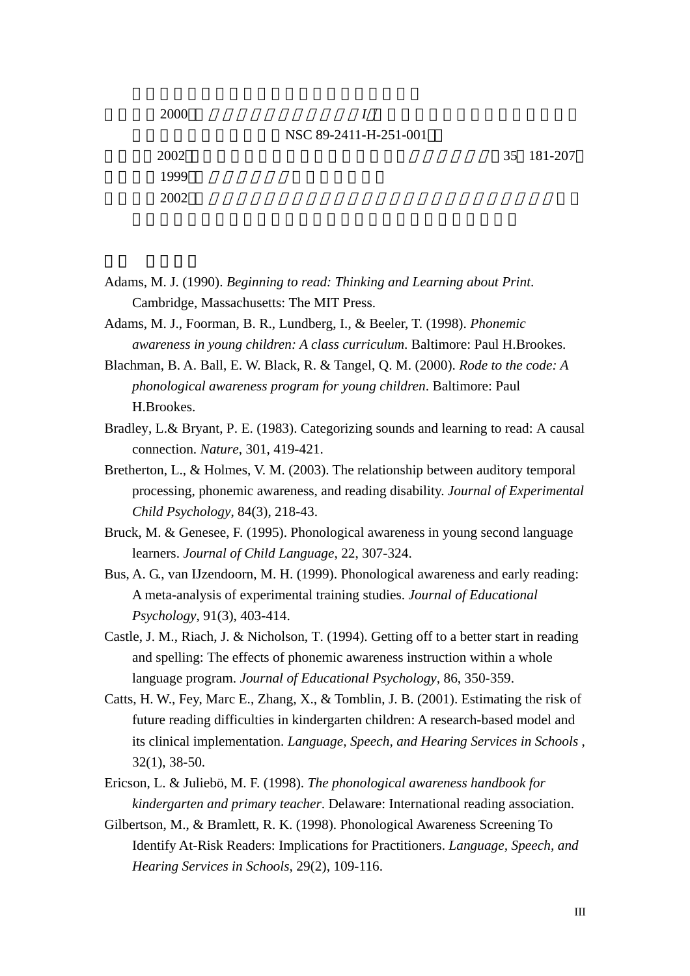| 2000 |                       |            |
|------|-----------------------|------------|
|      | NSC 89-2411-H-251-001 |            |
| 2002 |                       | 35 181-207 |
| 1999 |                       |            |
| 2002 |                       |            |

Adams, M. J. (1990). *Beginning to read: Thinking and Learning about Print*. Cambridge, Massachusetts: The MIT Press.

Adams, M. J., Foorman, B. R., Lundberg, I., & Beeler, T. (1998). *Phonemic awareness in young children: A class curriculum*. Baltimore: Paul H.Brookes.

Blachman, B. A. Ball, E. W. Black, R. & Tangel, Q. M. (2000). *Rode to the code: A phonological awareness program for young children*. Baltimore: Paul H.Brookes.

- Bradley, L.& Bryant, P. E. (1983). Categorizing sounds and learning to read: A causal connection. *Nature*, 301, 419-421.
- Bretherton, L., & Holmes, V. M. (2003). The relationship between auditory temporal processing, phonemic awareness, and reading disability. *Journal of Experimental Child Psychology*, 84(3), 218-43.
- Bruck, M. & Genesee, F. (1995). Phonological awareness in young second language learners. *Journal of Child Language*, 22, 307-324.
- Bus, A. G., van IJzendoorn, M. H. (1999). Phonological awareness and early reading: A meta-analysis of experimental training studies. *Journal of Educational Psychology*, 91(3), 403-414.
- Castle, J. M., Riach, J. & Nicholson, T. (1994). Getting off to a better start in reading and spelling: The effects of phonemic awareness instruction within a whole language program. *Journal of Educational Psychology,* 86, 350-359.
- Catts, H. W., Fey, Marc E., Zhang, X., & Tomblin, J. B. (2001). Estimating the risk of future reading difficulties in kindergarten children: A research-based model and its clinical implementation. *Language, Speech, and Hearing Services in Schools* , 32(1), 38-50.
- Ericson, L. & Juliebö, M. F. (1998). *The phonological awareness handbook for kindergarten and primary teacher*. Delaware: International reading association.
- Gilbertson, M., & Bramlett, R. K. (1998). Phonological Awareness Screening To Identify At-Risk Readers: Implications for Practitioners. *Language, Speech, and Hearing Services in Schools,* 29(2), 109-116.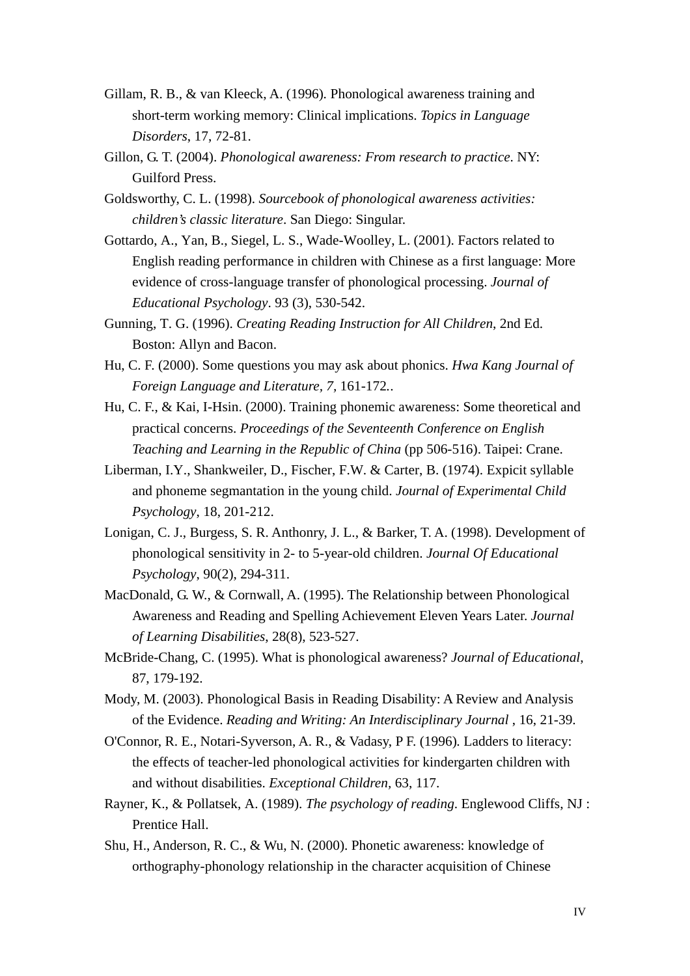- Gillam, R. B., & van Kleeck, A. (1996)*.* Phonological awareness training and short-term working memory: Clinical implications. *Topics in Language Disorders*, 17, 72-81.
- Gillon, G. T. (2004). *Phonological awareness: From research to practice*. NY: Guilford Press.
- Goldsworthy, C. L. (1998). *Sourcebook of phonological awareness activities: children's classic literature*. San Diego: Singular.
- Gottardo, A., Yan, B., Siegel, L. S., Wade-Woolley, L. (2001). Factors related to English reading performance in children with Chinese as a first language: More evidence of cross-language transfer of phonological processing. *Journal of Educational Psychology*. 93 (3), 530-542.
- Gunning, T. G. (1996). *Creating Reading Instruction for All Children*, 2nd Ed. Boston: Allyn and Bacon.
- Hu, C. F. (2000). Some questions you may ask about phonics. *Hwa Kang Journal of Foreign Language and Literature, 7,* 161-172*.*.
- Hu, C. F., & Kai, I-Hsin. (2000). Training phonemic awareness: Some theoretical and practical concerns. *Proceedings of the Seventeenth Conference on English Teaching and Learning in the Republic of China* (pp 506-516). Taipei: Crane.
- Liberman, I.Y., Shankweiler, D., Fischer, F.W. & Carter, B. (1974). Expicit syllable and phoneme segmantation in the young child. *Journal of Experimental Child Psychology*, 18, 201-212.
- Lonigan, C. J., Burgess, S. R. Anthonry, J. L., & Barker, T. A. (1998). Development of phonological sensitivity in 2- to 5-year-old children. *Journal Of Educational Psychology*, 90(2), 294-311.
- MacDonald, G. W., & Cornwall, A. (1995). The Relationship between Phonological Awareness and Reading and Spelling Achievement Eleven Years Later. *Journal of Learning Disabilities*, 28(8), 523-527.
- McBride-Chang, C. (1995). What is phonological awareness? *Journal of Educational*, 87, 179-192.
- Mody, M. (2003). Phonological Basis in Reading Disability: A Review and Analysis of the Evidence. *Reading and Writing: An Interdisciplinary Journal* , 16, 21-39.
- O'Connor, R. E., Notari-Syverson, A. R., & Vadasy, P F. (1996)*.* Ladders to literacy: the effects of teacher-led phonological activities for kindergarten children with and without disabilities. *Exceptional Children,* 63, 117.
- Rayner, K., & Pollatsek, A. (1989). *The psychology of reading*. Englewood Cliffs, NJ : Prentice Hall.
- Shu, H., Anderson, R. C., & Wu, N. (2000). Phonetic awareness: knowledge of orthography-phonology relationship in the character acquisition of Chinese